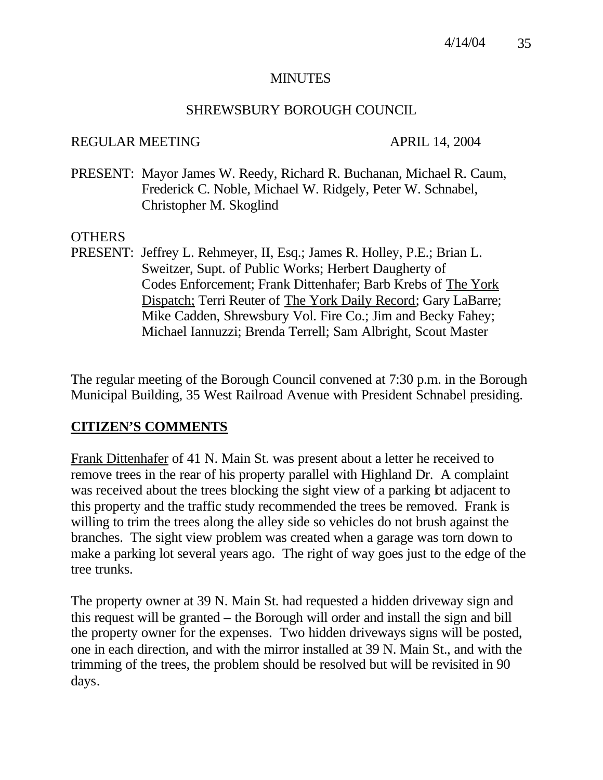#### **MINUTES**

#### SHREWSBURY BOROUGH COUNCIL

#### REGULAR MEETING APRIL 14, 2004

PRESENT: Mayor James W. Reedy, Richard R. Buchanan, Michael R. Caum, Frederick C. Noble, Michael W. Ridgely, Peter W. Schnabel, Christopher M. Skoglind

#### **OTHERS**

PRESENT: Jeffrey L. Rehmeyer, II, Esq.; James R. Holley, P.E.; Brian L. Sweitzer, Supt. of Public Works; Herbert Daugherty of Codes Enforcement; Frank Dittenhafer; Barb Krebs of The York Dispatch; Terri Reuter of The York Daily Record; Gary LaBarre; Mike Cadden, Shrewsbury Vol. Fire Co.; Jim and Becky Fahey; Michael Iannuzzi; Brenda Terrell; Sam Albright, Scout Master

The regular meeting of the Borough Council convened at 7:30 p.m. in the Borough Municipal Building, 35 West Railroad Avenue with President Schnabel presiding.

#### **CITIZEN'S COMMENTS**

Frank Dittenhafer of 41 N. Main St. was present about a letter he received to remove trees in the rear of his property parallel with Highland Dr. A complaint was received about the trees blocking the sight view of a parking bt adjacent to this property and the traffic study recommended the trees be removed. Frank is willing to trim the trees along the alley side so vehicles do not brush against the branches. The sight view problem was created when a garage was torn down to make a parking lot several years ago. The right of way goes just to the edge of the tree trunks.

The property owner at 39 N. Main St. had requested a hidden driveway sign and this request will be granted – the Borough will order and install the sign and bill the property owner for the expenses. Two hidden driveways signs will be posted, one in each direction, and with the mirror installed at 39 N. Main St., and with the trimming of the trees, the problem should be resolved but will be revisited in 90 days.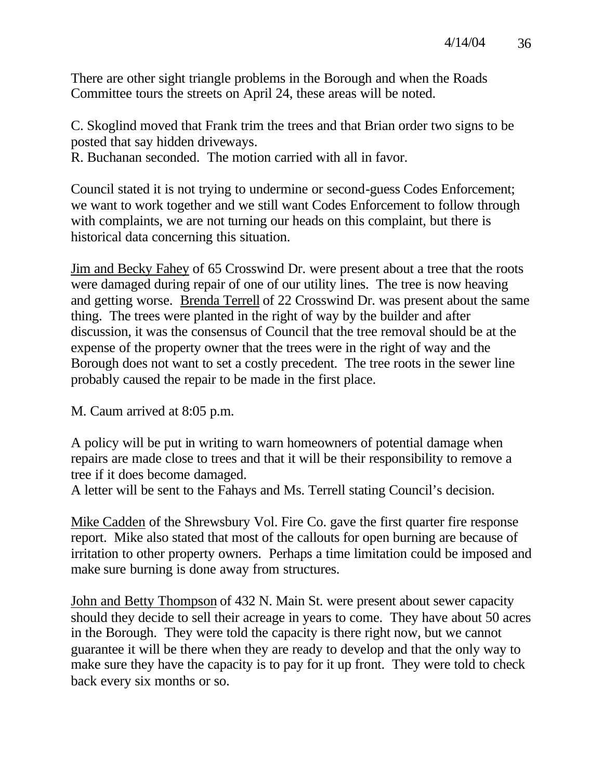There are other sight triangle problems in the Borough and when the Roads Committee tours the streets on April 24, these areas will be noted.

C. Skoglind moved that Frank trim the trees and that Brian order two signs to be posted that say hidden driveways. R. Buchanan seconded. The motion carried with all in favor.

Council stated it is not trying to undermine or second-guess Codes Enforcement; we want to work together and we still want Codes Enforcement to follow through with complaints, we are not turning our heads on this complaint, but there is historical data concerning this situation.

Jim and Becky Fahey of 65 Crosswind Dr. were present about a tree that the roots were damaged during repair of one of our utility lines. The tree is now heaving and getting worse. Brenda Terrell of 22 Crosswind Dr. was present about the same thing. The trees were planted in the right of way by the builder and after discussion, it was the consensus of Council that the tree removal should be at the expense of the property owner that the trees were in the right of way and the Borough does not want to set a costly precedent. The tree roots in the sewer line probably caused the repair to be made in the first place.

M. Caum arrived at 8:05 p.m.

A policy will be put in writing to warn homeowners of potential damage when repairs are made close to trees and that it will be their responsibility to remove a tree if it does become damaged.

A letter will be sent to the Fahays and Ms. Terrell stating Council's decision.

Mike Cadden of the Shrewsbury Vol. Fire Co. gave the first quarter fire response report. Mike also stated that most of the callouts for open burning are because of irritation to other property owners. Perhaps a time limitation could be imposed and make sure burning is done away from structures.

John and Betty Thompson of 432 N. Main St. were present about sewer capacity should they decide to sell their acreage in years to come. They have about 50 acres in the Borough. They were told the capacity is there right now, but we cannot guarantee it will be there when they are ready to develop and that the only way to make sure they have the capacity is to pay for it up front. They were told to check back every six months or so.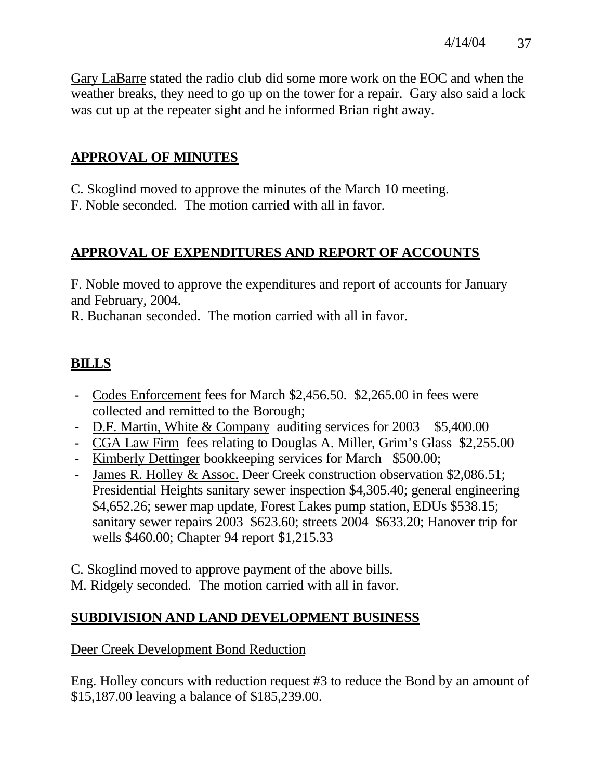Gary LaBarre stated the radio club did some more work on the EOC and when the weather breaks, they need to go up on the tower for a repair. Gary also said a lock was cut up at the repeater sight and he informed Brian right away.

# **APPROVAL OF MINUTES**

C. Skoglind moved to approve the minutes of the March 10 meeting.

F. Noble seconded. The motion carried with all in favor.

# **APPROVAL OF EXPENDITURES AND REPORT OF ACCOUNTS**

F. Noble moved to approve the expenditures and report of accounts for January and February, 2004.

R. Buchanan seconded. The motion carried with all in favor.

# **BILLS**

- Codes Enforcement fees for March \$2,456.50. \$2,265.00 in fees were collected and remitted to the Borough;
- D.F. Martin, White & Company auditing services for 2003 \$5,400.00
- CGA Law Firm fees relating to Douglas A. Miller, Grim's Glass \$2,255.00
- Kimberly Dettinger bookkeeping services for March \$500.00;
- James R. Holley & Assoc. Deer Creek construction observation \$2,086.51; Presidential Heights sanitary sewer inspection \$4,305.40; general engineering \$4,652.26; sewer map update, Forest Lakes pump station, EDUs \$538.15; sanitary sewer repairs 2003 \$623.60; streets 2004 \$633.20; Hanover trip for wells \$460.00; Chapter 94 report \$1,215.33

C. Skoglind moved to approve payment of the above bills.

M. Ridgely seconded. The motion carried with all in favor.

# **SUBDIVISION AND LAND DEVELOPMENT BUSINESS**

# Deer Creek Development Bond Reduction

Eng. Holley concurs with reduction request #3 to reduce the Bond by an amount of \$15,187.00 leaving a balance of \$185,239.00.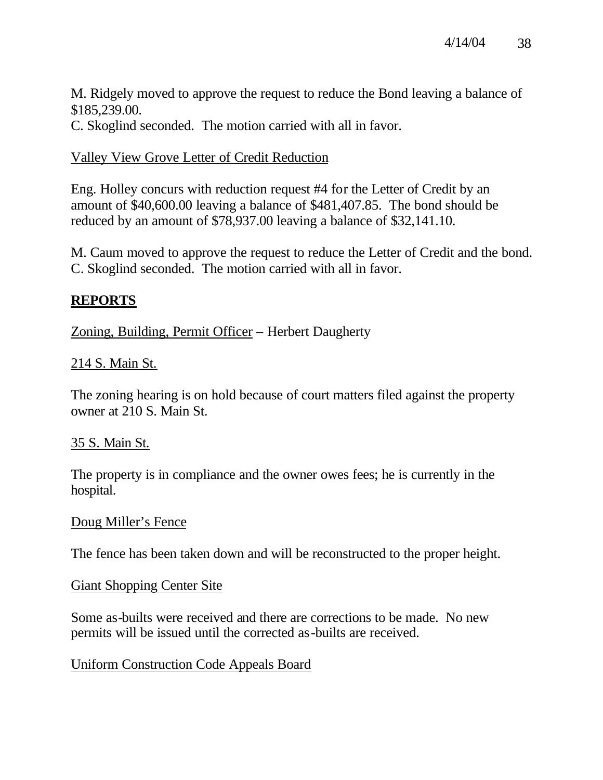M. Ridgely moved to approve the request to reduce the Bond leaving a balance of \$185,239.00.

C. Skoglind seconded. The motion carried with all in favor.

### Valley View Grove Letter of Credit Reduction

Eng. Holley concurs with reduction request #4 for the Letter of Credit by an amount of \$40,600.00 leaving a balance of \$481,407.85. The bond should be reduced by an amount of \$78,937.00 leaving a balance of \$32,141.10.

M. Caum moved to approve the request to reduce the Letter of Credit and the bond. C. Skoglind seconded. The motion carried with all in favor.

## **REPORTS**

### Zoning, Building, Permit Officer – Herbert Daugherty

## 214 S. Main St.

The zoning hearing is on hold because of court matters filed against the property owner at 210 S. Main St.

### 35 S. Main St.

The property is in compliance and the owner owes fees; he is currently in the hospital.

#### Doug Miller's Fence

The fence has been taken down and will be reconstructed to the proper height.

#### Giant Shopping Center Site

Some as-builts were received and there are corrections to be made. No new permits will be issued until the corrected as-builts are received.

### Uniform Construction Code Appeals Board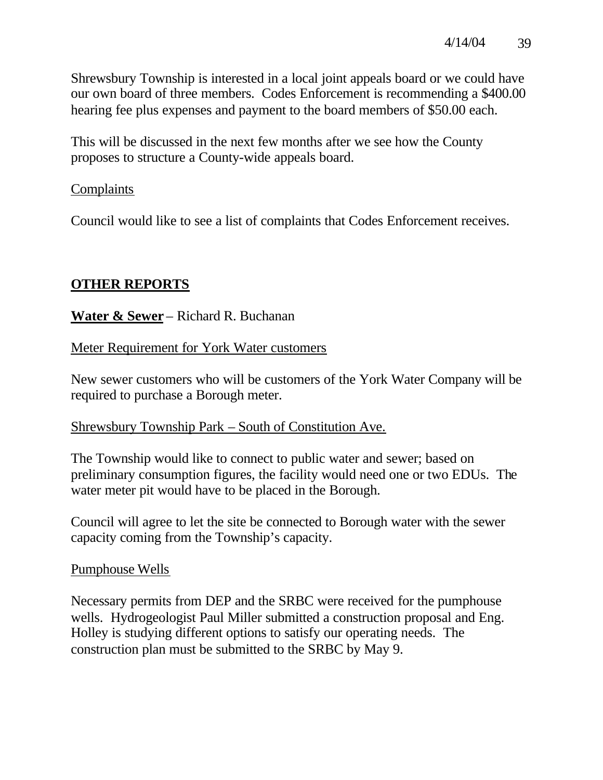Shrewsbury Township is interested in a local joint appeals board or we could have our own board of three members. Codes Enforcement is recommending a \$400.00 hearing fee plus expenses and payment to the board members of \$50.00 each.

This will be discussed in the next few months after we see how the County proposes to structure a County-wide appeals board.

## Complaints

Council would like to see a list of complaints that Codes Enforcement receives.

# **OTHER REPORTS**

**Water & Sewer** – Richard R. Buchanan

Meter Requirement for York Water customers

New sewer customers who will be customers of the York Water Company will be required to purchase a Borough meter.

### Shrewsbury Township Park – South of Constitution Ave.

The Township would like to connect to public water and sewer; based on preliminary consumption figures, the facility would need one or two EDUs. The water meter pit would have to be placed in the Borough.

Council will agree to let the site be connected to Borough water with the sewer capacity coming from the Township's capacity.

### Pumphouse Wells

Necessary permits from DEP and the SRBC were received for the pumphouse wells. Hydrogeologist Paul Miller submitted a construction proposal and Eng. Holley is studying different options to satisfy our operating needs. The construction plan must be submitted to the SRBC by May 9.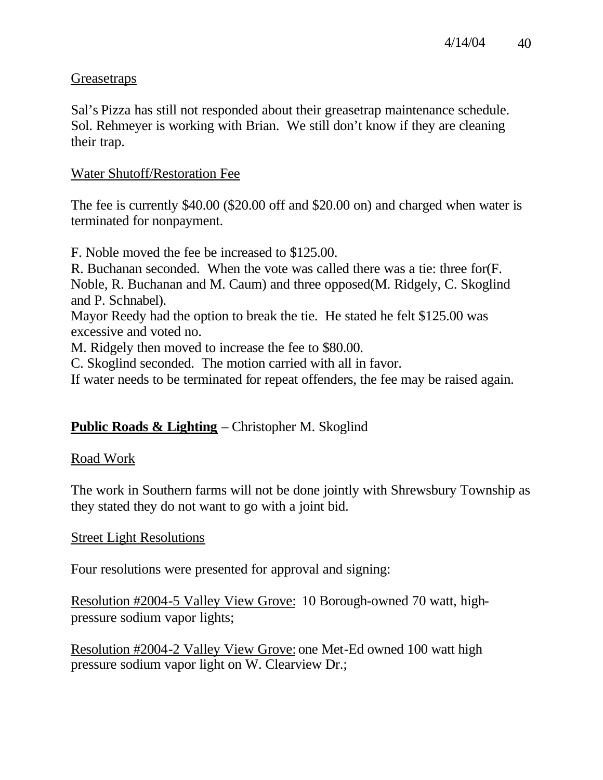#### **Greasetraps**

Sal's Pizza has still not responded about their greasetrap maintenance schedule. Sol. Rehmeyer is working with Brian. We still don't know if they are cleaning their trap.

#### Water Shutoff/Restoration Fee

The fee is currently \$40.00 (\$20.00 off and \$20.00 on) and charged when water is terminated for nonpayment.

F. Noble moved the fee be increased to \$125.00.

R. Buchanan seconded. When the vote was called there was a tie: three for(F. Noble, R. Buchanan and M. Caum) and three opposed(M. Ridgely, C. Skoglind and P. Schnabel).

Mayor Reedy had the option to break the tie. He stated he felt \$125.00 was excessive and voted no.

M. Ridgely then moved to increase the fee to \$80.00.

C. Skoglind seconded. The motion carried with all in favor.

If water needs to be terminated for repeat offenders, the fee may be raised again.

# **Public Roads & Lighting** – Christopher M. Skoglind

#### Road Work

The work in Southern farms will not be done jointly with Shrewsbury Township as they stated they do not want to go with a joint bid.

#### Street Light Resolutions

Four resolutions were presented for approval and signing:

Resolution #2004-5 Valley View Grove: 10 Borough-owned 70 watt, highpressure sodium vapor lights;

Resolution #2004-2 Valley View Grove: one Met-Ed owned 100 watt high pressure sodium vapor light on W. Clearview Dr.;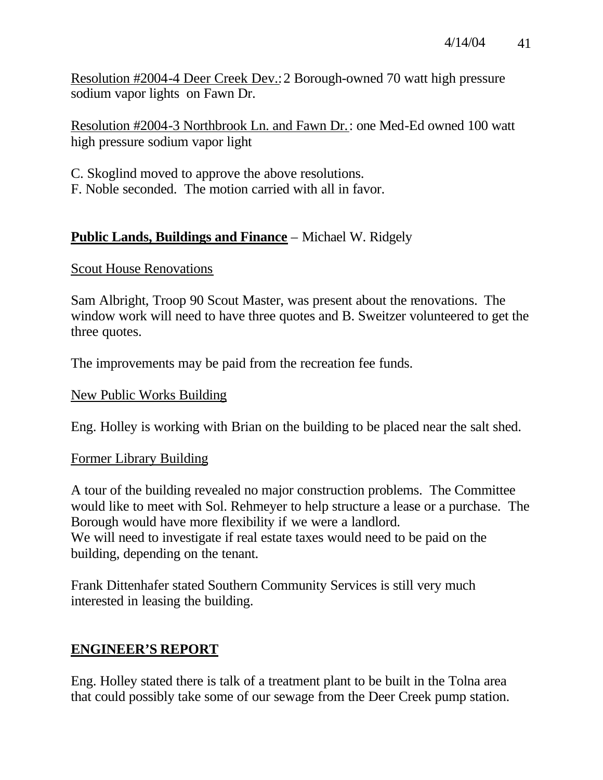Resolution #2004-4 Deer Creek Dev.: 2 Borough-owned 70 watt high pressure sodium vapor lights on Fawn Dr.

Resolution #2004-3 Northbrook Ln. and Fawn Dr.: one Med-Ed owned 100 watt high pressure sodium vapor light

C. Skoglind moved to approve the above resolutions.

F. Noble seconded. The motion carried with all in favor.

# **Public Lands, Buildings and Finance** – Michael W. Ridgely

## Scout House Renovations

Sam Albright, Troop 90 Scout Master, was present about the renovations. The window work will need to have three quotes and B. Sweitzer volunteered to get the three quotes.

The improvements may be paid from the recreation fee funds.

### New Public Works Building

Eng. Holley is working with Brian on the building to be placed near the salt shed.

### Former Library Building

A tour of the building revealed no major construction problems. The Committee would like to meet with Sol. Rehmeyer to help structure a lease or a purchase. The Borough would have more flexibility if we were a landlord. We will need to investigate if real estate taxes would need to be paid on the building, depending on the tenant.

Frank Dittenhafer stated Southern Community Services is still very much interested in leasing the building.

# **ENGINEER'S REPORT**

Eng. Holley stated there is talk of a treatment plant to be built in the Tolna area that could possibly take some of our sewage from the Deer Creek pump station.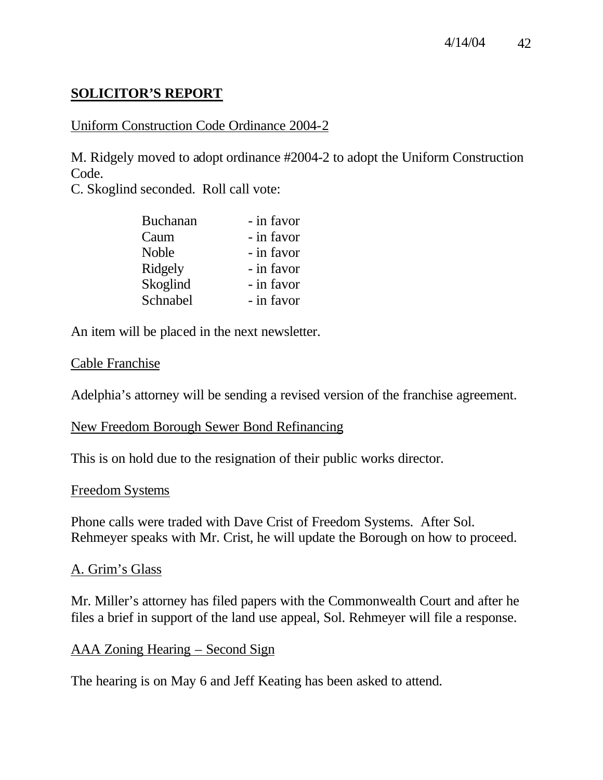# **SOLICITOR'S REPORT**

### Uniform Construction Code Ordinance 2004-2

M. Ridgely moved to adopt ordinance #2004-2 to adopt the Uniform Construction Code.

C. Skoglind seconded. Roll call vote:

| <b>Buchanan</b> | - in favor |
|-----------------|------------|
| Caum            | - in favor |
| <b>Noble</b>    | - in favor |
| Ridgely         | - in favor |
| Skoglind        | - in favor |
| Schnabel        | - in favor |

An item will be placed in the next newsletter.

### Cable Franchise

Adelphia's attorney will be sending a revised version of the franchise agreement.

### New Freedom Borough Sewer Bond Refinancing

This is on hold due to the resignation of their public works director.

### Freedom Systems

Phone calls were traded with Dave Crist of Freedom Systems. After Sol. Rehmeyer speaks with Mr. Crist, he will update the Borough on how to proceed.

### A. Grim's Glass

Mr. Miller's attorney has filed papers with the Commonwealth Court and after he files a brief in support of the land use appeal, Sol. Rehmeyer will file a response.

### AAA Zoning Hearing – Second Sign

The hearing is on May 6 and Jeff Keating has been asked to attend.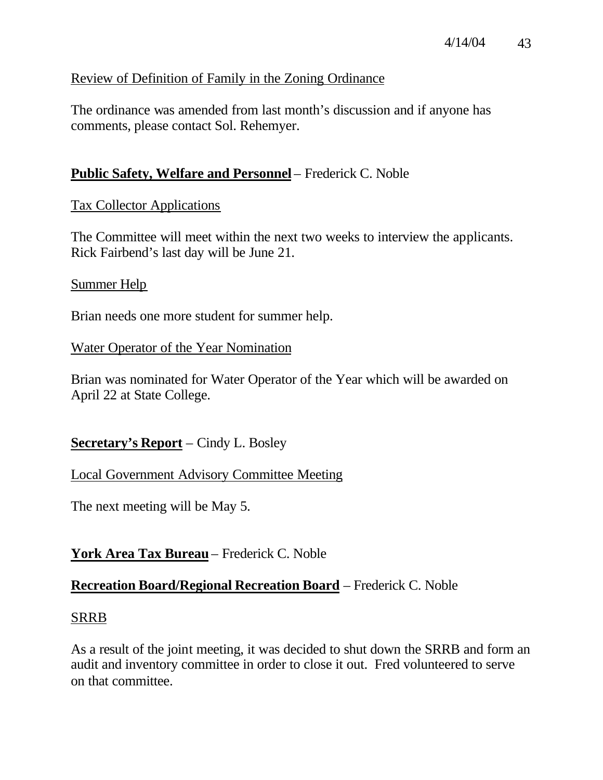### Review of Definition of Family in the Zoning Ordinance

The ordinance was amended from last month's discussion and if anyone has comments, please contact Sol. Rehemyer.

## **Public Safety, Welfare and Personnel** – Frederick C. Noble

## Tax Collector Applications

The Committee will meet within the next two weeks to interview the applicants. Rick Fairbend's last day will be June 21.

#### Summer Help

Brian needs one more student for summer help.

### Water Operator of the Year Nomination

Brian was nominated for Water Operator of the Year which will be awarded on April 22 at State College.

# **Secretary's Report** – Cindy L. Bosley

### Local Government Advisory Committee Meeting

The next meeting will be May 5.

# **York Area Tax Bureau** – Frederick C. Noble

### **Recreation Board/Regional Recreation Board** – Frederick C. Noble

### SRRB

As a result of the joint meeting, it was decided to shut down the SRRB and form an audit and inventory committee in order to close it out. Fred volunteered to serve on that committee.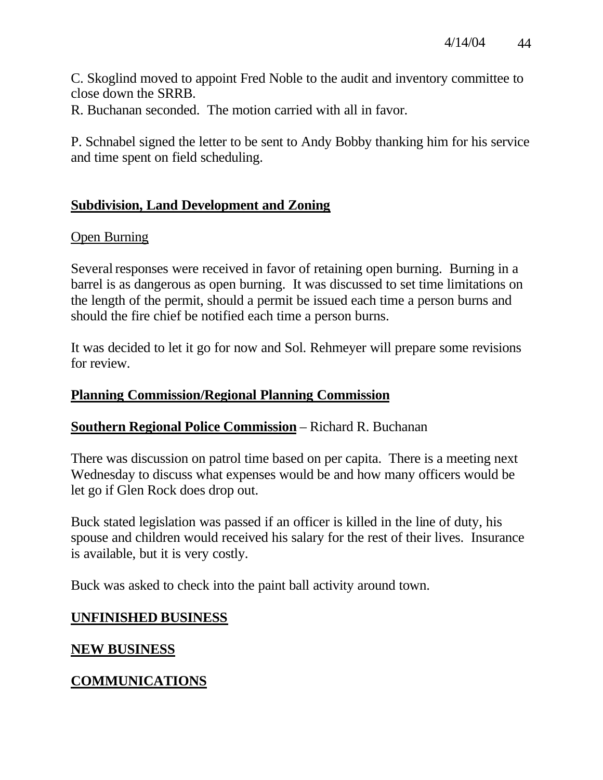C. Skoglind moved to appoint Fred Noble to the audit and inventory committee to close down the SRRB.

R. Buchanan seconded. The motion carried with all in favor.

P. Schnabel signed the letter to be sent to Andy Bobby thanking him for his service and time spent on field scheduling.

# **Subdivision, Land Development and Zoning**

#### Open Burning

Several responses were received in favor of retaining open burning. Burning in a barrel is as dangerous as open burning. It was discussed to set time limitations on the length of the permit, should a permit be issued each time a person burns and should the fire chief be notified each time a person burns.

It was decided to let it go for now and Sol. Rehmeyer will prepare some revisions for review.

#### **Planning Commission/Regional Planning Commission**

#### **Southern Regional Police Commission** – Richard R. Buchanan

There was discussion on patrol time based on per capita. There is a meeting next Wednesday to discuss what expenses would be and how many officers would be let go if Glen Rock does drop out.

Buck stated legislation was passed if an officer is killed in the line of duty, his spouse and children would received his salary for the rest of their lives. Insurance is available, but it is very costly.

Buck was asked to check into the paint ball activity around town.

### **UNFINISHED BUSINESS**

### **NEW BUSINESS**

# **COMMUNICATIONS**